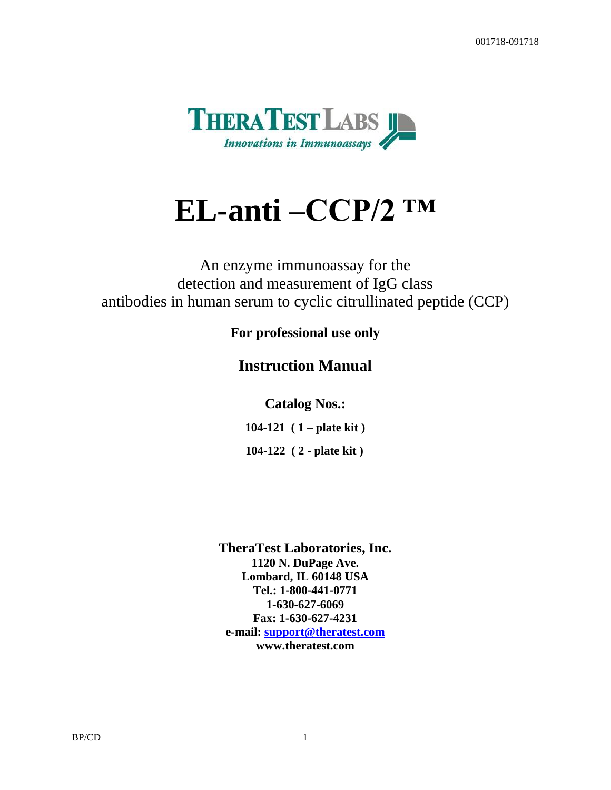

# **EL-anti –CCP/2 ™**

An enzyme immunoassay for the detection and measurement of IgG class antibodies in human serum to cyclic citrullinated peptide (CCP)

### **For professional use only**

# **Instruction Manual**

**Catalog Nos.:**

**104-121 ( 1 – plate kit )**

**104-122 ( 2 - plate kit )**

**TheraTest Laboratories, Inc. 1120 N. DuPage Ave. Lombard, IL 60148 USA Tel.: 1-800-441-0771 1-630-627-6069 Fax: 1-630-627-4231 e-mail: [support@theratest.com](mailto:support@theratest.com) www.theratest.com**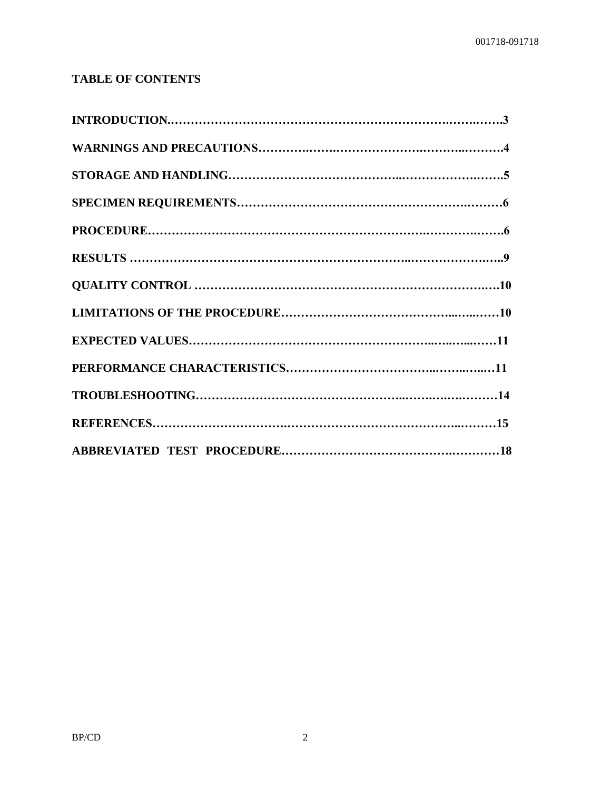## **TABLE OF CONTENTS**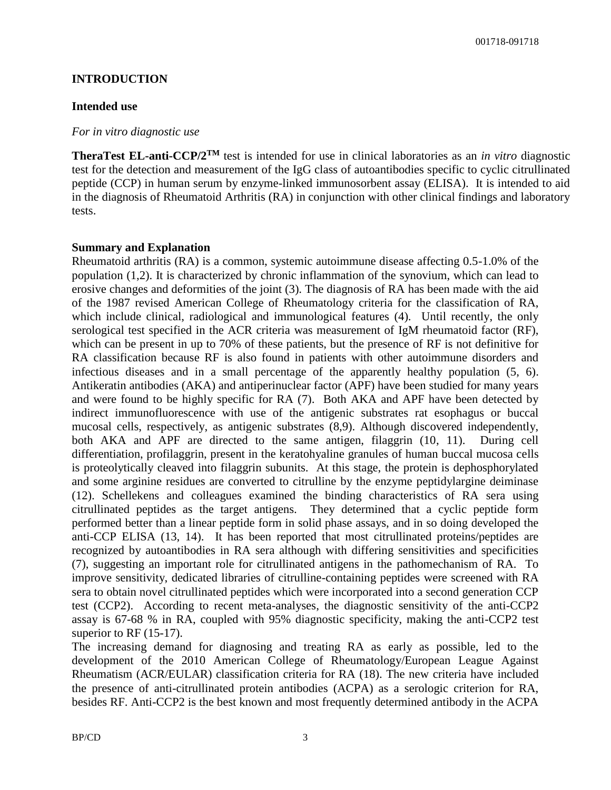#### **INTRODUCTION**

#### **Intended use**

#### *For in vitro diagnostic use*

**TheraTest EL-anti-CCP/2TM** test is intended for use in clinical laboratories as an *in vitro* diagnostic test for the detection and measurement of the IgG class of autoantibodies specific to cyclic citrullinated peptide (CCP) in human serum by enzyme-linked immunosorbent assay (ELISA). It is intended to aid in the diagnosis of Rheumatoid Arthritis (RA) in conjunction with other clinical findings and laboratory tests.

#### **Summary and Explanation**

Rheumatoid arthritis (RA) is a common, systemic autoimmune disease affecting 0.5-1.0% of the population (1,2). It is characterized by chronic inflammation of the synovium, which can lead to erosive changes and deformities of the joint (3). The diagnosis of RA has been made with the aid of the 1987 revised American College of Rheumatology criteria for the classification of RA, which include clinical, radiological and immunological features (4). Until recently, the only serological test specified in the ACR criteria was measurement of IgM rheumatoid factor (RF), which can be present in up to 70% of these patients, but the presence of RF is not definitive for RA classification because RF is also found in patients with other autoimmune disorders and infectious diseases and in a small percentage of the apparently healthy population (5, 6). Antikeratin antibodies (AKA) and antiperinuclear factor (APF) have been studied for many years and were found to be highly specific for RA (7). Both AKA and APF have been detected by indirect immunofluorescence with use of the antigenic substrates rat esophagus or buccal mucosal cells, respectively, as antigenic substrates (8,9). Although discovered independently, both AKA and APF are directed to the same antigen, filaggrin (10, 11). During cell differentiation, profilaggrin, present in the keratohyaline granules of human buccal mucosa cells is proteolytically cleaved into filaggrin subunits. At this stage, the protein is dephosphorylated and some arginine residues are converted to citrulline by the enzyme peptidylargine deiminase (12). Schellekens and colleagues examined the binding characteristics of RA sera using citrullinated peptides as the target antigens. They determined that a cyclic peptide form performed better than a linear peptide form in solid phase assays, and in so doing developed the anti-CCP ELISA (13, 14). It has been reported that most citrullinated proteins/peptides are recognized by autoantibodies in RA sera although with differing sensitivities and specificities (7), suggesting an important role for citrullinated antigens in the pathomechanism of RA. To improve sensitivity, dedicated libraries of citrulline-containing peptides were screened with RA sera to obtain novel citrullinated peptides which were incorporated into a second generation CCP test (CCP2). According to recent meta-analyses, the diagnostic sensitivity of the anti-CCP2 assay is 67-68 % in RA, coupled with 95% diagnostic specificity, making the anti-CCP2 test superior to RF (15-17).

The increasing demand for diagnosing and treating RA as early as possible, led to the development of the 2010 American College of Rheumatology/European League Against Rheumatism (ACR/EULAR) classification criteria for RA (18). The new criteria have included the presence of anti-citrullinated protein antibodies (ACPA) as a serologic criterion for RA, besides RF. Anti-CCP2 is the best known and most frequently determined antibody in the ACPA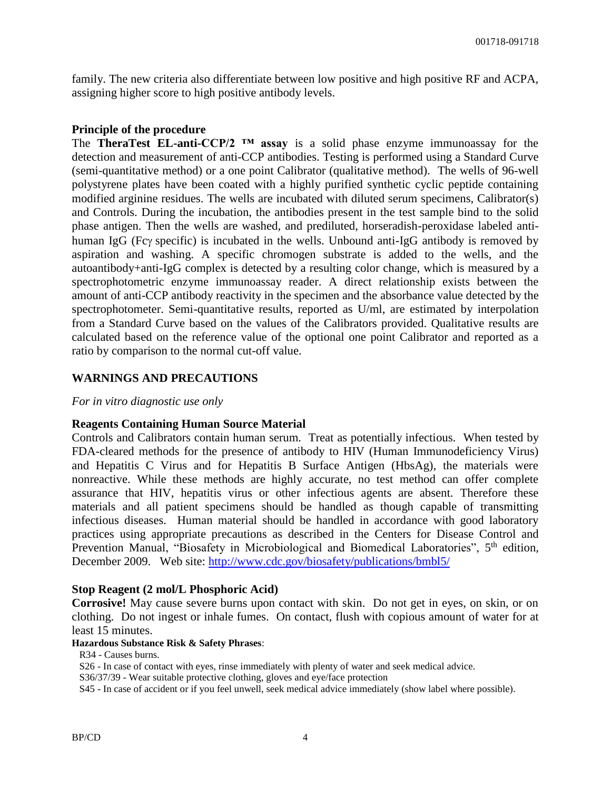family. The new criteria also differentiate between low positive and high positive RF and ACPA, assigning higher score to high positive antibody levels.

#### **Principle of the procedure**

The **TheraTest EL-anti-CCP/2 ™ assay** is a solid phase enzyme immunoassay for the detection and measurement of anti-CCP antibodies. Testing is performed using a Standard Curve (semi-quantitative method) or a one point Calibrator (qualitative method). The wells of 96-well polystyrene plates have been coated with a highly purified synthetic cyclic peptide containing modified arginine residues. The wells are incubated with diluted serum specimens, Calibrator(s) and Controls. During the incubation, the antibodies present in the test sample bind to the solid phase antigen. Then the wells are washed, and prediluted, horseradish-peroxidase labeled antihuman IgG (Fcy specific) is incubated in the wells. Unbound anti-IgG antibody is removed by aspiration and washing. A specific chromogen substrate is added to the wells, and the autoantibody+anti-IgG complex is detected by a resulting color change, which is measured by a spectrophotometric enzyme immunoassay reader. A direct relationship exists between the amount of anti-CCP antibody reactivity in the specimen and the absorbance value detected by the spectrophotometer. Semi-quantitative results, reported as U/ml, are estimated by interpolation from a Standard Curve based on the values of the Calibrators provided. Qualitative results are calculated based on the reference value of the optional one point Calibrator and reported as a ratio by comparison to the normal cut-off value.

#### **WARNINGS AND PRECAUTIONS**

#### *For in vitro diagnostic use only*

#### **Reagents Containing Human Source Material**

Controls and Calibrators contain human serum. Treat as potentially infectious.When tested by FDA-cleared methods for the presence of antibody to HIV (Human Immunodeficiency Virus) and Hepatitis C Virus and for Hepatitis B Surface Antigen (HbsAg), the materials were nonreactive. While these methods are highly accurate, no test method can offer complete assurance that HIV, hepatitis virus or other infectious agents are absent. Therefore these materials and all patient specimens should be handled as though capable of transmitting infectious diseases. Human material should be handled in accordance with good laboratory practices using appropriate precautions as described in the Centers for Disease Control and Prevention Manual, "Biosafety in Microbiological and Biomedical Laboratories", 5<sup>th</sup> edition, December 2009. Web site:<http://www.cdc.gov/biosafety/publications/bmbl5/>

#### **Stop Reagent (2 mol/L Phosphoric Acid)**

**Corrosive!** May cause severe burns upon contact with skin. Do not get in eyes, on skin, or on clothing. Do not ingest or inhale fumes. On contact, flush with copious amount of water for at least 15 minutes.

#### **Hazardous Substance Risk & Safety Phrases**:

R34 - Causes burns.

S26 - In case of contact with eyes, rinse immediately with plenty of water and seek medical advice.

S36/37/39 - Wear suitable protective clothing, gloves and eye/face protection

S45 - In case of accident or if you feel unwell, seek medical advice immediately (show label where possible).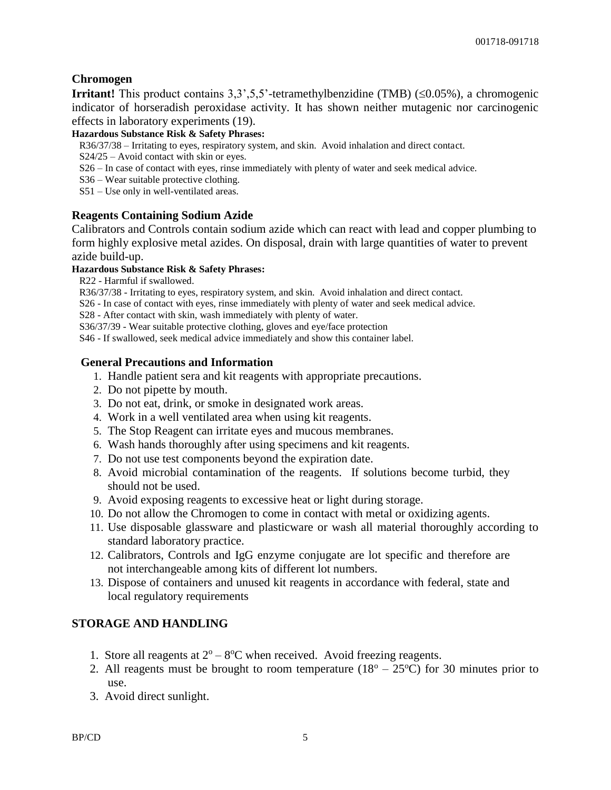#### **Chromogen**

**Irritant!** This product contains  $3,3,5,5$ '-tetramethylbenzidine (TMB) ( $\leq 0.05\%$ ), a chromogenic indicator of horseradish peroxidase activity. It has shown neither mutagenic nor carcinogenic effects in laboratory experiments (19).

#### **Hazardous Substance Risk & Safety Phrases:**

R36/37/38 – Irritating to eyes, respiratory system, and skin. Avoid inhalation and direct contact.

- S24/25 Avoid contact with skin or eyes.
- S26 In case of contact with eyes, rinse immediately with plenty of water and seek medical advice.
- S36 Wear suitable protective clothing.
- S51 Use only in well-ventilated areas.

#### **Reagents Containing Sodium Azide**

Calibrators and Controls contain sodium azide which can react with lead and copper plumbing to form highly explosive metal azides. On disposal, drain with large quantities of water to prevent azide build-up.

#### **Hazardous Substance Risk & Safety Phrases:**

R22 - Harmful if swallowed.

R36/37/38 - Irritating to eyes, respiratory system, and skin. Avoid inhalation and direct contact.

S26 - In case of contact with eyes, rinse immediately with plenty of water and seek medical advice.

S28 - After contact with skin, wash immediately with plenty of water.

S36/37/39 - Wear suitable protective clothing, gloves and eye/face protection

S46 - If swallowed, seek medical advice immediately and show this container label.

#### **General Precautions and Information**

- 1. Handle patient sera and kit reagents with appropriate precautions.
- 2. Do not pipette by mouth.
- 3. Do not eat, drink, or smoke in designated work areas.
- 4. Work in a well ventilated area when using kit reagents.
- 5. The Stop Reagent can irritate eyes and mucous membranes.
- 6. Wash hands thoroughly after using specimens and kit reagents.
- 7. Do not use test components beyond the expiration date.
- 8. Avoid microbial contamination of the reagents. If solutions become turbid, they should not be used.
- 9. Avoid exposing reagents to excessive heat or light during storage.
- 10. Do not allow the Chromogen to come in contact with metal or oxidizing agents.
- 11. Use disposable glassware and plasticware or wash all material thoroughly according to standard laboratory practice.
- 12. Calibrators, Controls and IgG enzyme conjugate are lot specific and therefore are not interchangeable among kits of different lot numbers.
- 13. Dispose of containers and unused kit reagents in accordance with federal, state and local regulatory requirements

#### **STORAGE AND HANDLING**

- 1. Store all reagents at  $2^{\circ} 8^{\circ}C$  when received. Avoid freezing reagents.
- 2. All reagents must be brought to room temperature  $(18^{\circ} 25^{\circ}C)$  for 30 minutes prior to use.
- 3. Avoid direct sunlight.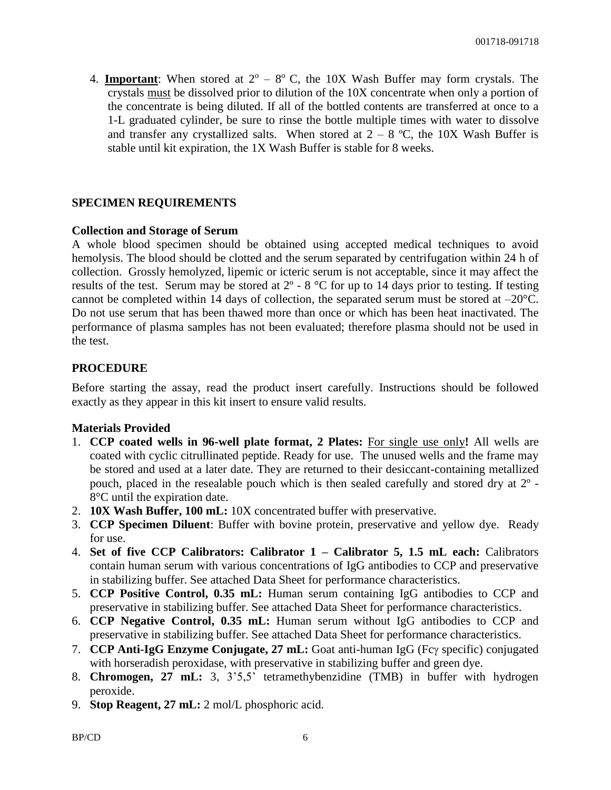4. **Important**: When stored at  $2^{\circ}$  –  $8^{\circ}$  C, the 10X Wash Buffer may form crystals. The crystals must be dissolved prior to dilution of the 10X concentrate when only a portion of the concentrate is being diluted. If all of the bottled contents are transferred at once to a 1-L graduated cylinder, be sure to rinse the bottle multiple times with water to dissolve and transfer any crystallized salts. When stored at  $2 - 8$  °C, the 10X Wash Buffer is stable until kit expiration, the 1X Wash Buffer is stable for 8 weeks.

#### **SPECIMEN REQUIREMENTS**

#### **Collection and Storage of Serum**

A whole blood specimen should be obtained using accepted medical techniques to avoid hemolysis. The blood should be clotted and the serum separated by centrifugation within 24 h of collection. Grossly hemolyzed, lipemic or icteric serum is not acceptable, since it may affect the results of the test. Serum may be stored at  $2^{\circ}$  - 8  $^{\circ}$ C for up to 14 days prior to testing. If testing cannot be completed within 14 days of collection, the separated serum must be stored at  $-20^{\circ}$ C. Do not use serum that has been thawed more than once or which has been heat inactivated. The performance of plasma samples has not been evaluated; therefore plasma should not be used in the test.

#### **PROCEDURE**

Before starting the assay, read the product insert carefully. Instructions should be followed exactly as they appear in this kit insert to ensure valid results.

#### **Materials Provided**

- 1. **CCP coated wells in 96-well plate format, 2 Plates:** For single use only**!** All wells are coated with cyclic citrullinated peptide. Ready for use. The unused wells and the frame may be stored and used at a later date. They are returned to their desiccant-containing metallized pouch, placed in the resealable pouch which is then sealed carefully and stored dry at 2º - 8°C until the expiration date.
- 2. **10X Wash Buffer, 100 mL:** 10X concentrated buffer with preservative.
- 3. **CCP Specimen Diluent**: Buffer with bovine protein, preservative and yellow dye. Ready for use.
- 4. **Set of five CCP Calibrators: Calibrator 1 – Calibrator 5, 1.5 mL each:** Calibrators contain human serum with various concentrations of IgG antibodies to CCP and preservative in stabilizing buffer. See attached Data Sheet for performance characteristics.
- 5. **CCP Positive Control, 0.35 mL:** Human serum containing IgG antibodies to CCP and preservative in stabilizing buffer. See attached Data Sheet for performance characteristics.
- 6. **CCP Negative Control, 0.35 mL:** Human serum without IgG antibodies to CCP and preservative in stabilizing buffer. See attached Data Sheet for performance characteristics.
- 7. **CCP Anti-IgG Enzyme Conjugate, 27 mL:** Goat anti-human IgG (Fcy specific) conjugated with horseradish peroxidase, with preservative in stabilizing buffer and green dye.
- 8. **Chromogen, 27 mL:** 3, 3'5,5' tetramethybenzidine (TMB) in buffer with hydrogen peroxide.
- 9. **Stop Reagent, 27 mL:** 2 mol/L phosphoric acid.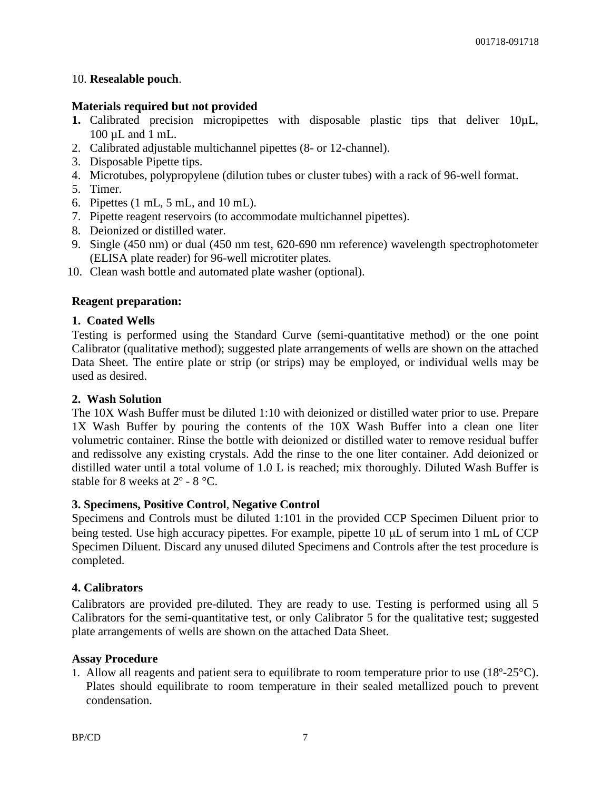#### 10. **Resealable pouch**.

#### **Materials required but not provided**

- 1. Calibrated precision micropipettes with disposable plastic tips that deliver 10 $\mu$ L, 100 µL and 1 mL.
- 2. Calibrated adjustable multichannel pipettes (8- or 12-channel).
- 3. Disposable Pipette tips.
- 4. Microtubes, polypropylene (dilution tubes or cluster tubes) with a rack of 96-well format.
- 5. Timer.
- 6. Pipettes (1 mL, 5 mL, and 10 mL).
- 7. Pipette reagent reservoirs (to accommodate multichannel pipettes).
- 8. Deionized or distilled water.
- 9. Single (450 nm) or dual (450 nm test, 620-690 nm reference) wavelength spectrophotometer (ELISA plate reader) for 96-well microtiter plates.
- 10. Clean wash bottle and automated plate washer (optional).

#### **Reagent preparation:**

#### **1. Coated Wells**

Testing is performed using the Standard Curve (semi-quantitative method) or the one point Calibrator (qualitative method); suggested plate arrangements of wells are shown on the attached Data Sheet. The entire plate or strip (or strips) may be employed, or individual wells may be used as desired.

#### **2. Wash Solution**

The 10X Wash Buffer must be diluted 1:10 with deionized or distilled water prior to use. Prepare 1X Wash Buffer by pouring the contents of the 10X Wash Buffer into a clean one liter volumetric container. Rinse the bottle with deionized or distilled water to remove residual buffer and redissolve any existing crystals. Add the rinse to the one liter container. Add deionized or distilled water until a total volume of 1.0 L is reached; mix thoroughly. Diluted Wash Buffer is stable for 8 weeks at 2º - 8 °C.

#### **3. Specimens, Positive Control**, **Negative Control**

Specimens and Controls must be diluted 1:101 in the provided CCP Specimen Diluent prior to being tested. Use high accuracy pipettes. For example, pipette  $10 \mu L$  of serum into 1 mL of CCP Specimen Diluent. Discard any unused diluted Specimens and Controls after the test procedure is completed.

#### **4. Calibrators**

Calibrators are provided pre-diluted. They are ready to use. Testing is performed using all 5 Calibrators for the semi-quantitative test, or only Calibrator 5 for the qualitative test; suggested plate arrangements of wells are shown on the attached Data Sheet.

#### **Assay Procedure**

1. Allow all reagents and patient sera to equilibrate to room temperature prior to use (18º-25°C). Plates should equilibrate to room temperature in their sealed metallized pouch to prevent condensation.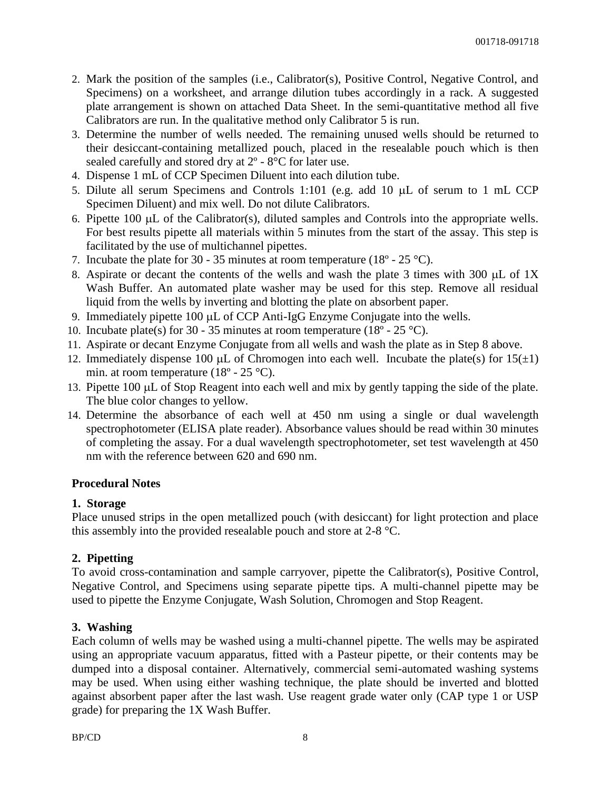- 2. Mark the position of the samples (i.e., Calibrator(s), Positive Control, Negative Control, and Specimens) on a worksheet, and arrange dilution tubes accordingly in a rack. A suggested plate arrangement is shown on attached Data Sheet. In the semi-quantitative method all five Calibrators are run. In the qualitative method only Calibrator 5 is run.
- 3. Determine the number of wells needed. The remaining unused wells should be returned to their desiccant-containing metallized pouch, placed in the resealable pouch which is then sealed carefully and stored dry at 2º - 8°C for later use.
- 4. Dispense 1 mL of CCP Specimen Diluent into each dilution tube.
- 5. Dilute all serum Specimens and Controls 1:101 (e.g. add 10  $\mu$ L of serum to 1 mL CCP Specimen Diluent) and mix well. Do not dilute Calibrators.
- 6. Pipette 100  $\mu$ L of the Calibrator(s), diluted samples and Controls into the appropriate wells. For best results pipette all materials within 5 minutes from the start of the assay. This step is facilitated by the use of multichannel pipettes.
- 7. Incubate the plate for 30 35 minutes at room temperature (18 $\degree$  25  $\degree$ C).
- 8. Aspirate or decant the contents of the wells and wash the plate 3 times with 300  $\mu$ L of 1X Wash Buffer. An automated plate washer may be used for this step. Remove all residual liquid from the wells by inverting and blotting the plate on absorbent paper.
- 9. Immediately pipette  $100 \mu L$  of CCP Anti-IgG Enzyme Conjugate into the wells.
- 10. Incubate plate(s) for 30 35 minutes at room temperature (18 $^{\circ}$  25 $^{\circ}$ C).
- 11. Aspirate or decant Enzyme Conjugate from all wells and wash the plate as in Step 8 above.
- 12. Immediately dispense 100  $\mu$ L of Chromogen into each well. Incubate the plate(s) for 15( $\pm$ 1) min. at room temperature  $(18^{\circ} - 25^{\circ}C)$ .
- 13. Pipette 100 µL of Stop Reagent into each well and mix by gently tapping the side of the plate. The blue color changes to yellow.
- 14. Determine the absorbance of each well at 450 nm using a single or dual wavelength spectrophotometer (ELISA plate reader). Absorbance values should be read within 30 minutes of completing the assay. For a dual wavelength spectrophotometer, set test wavelength at 450 nm with the reference between 620 and 690 nm.

#### **Procedural Notes**

#### **1. Storage**

Place unused strips in the open metallized pouch (with desiccant) for light protection and place this assembly into the provided resealable pouch and store at 2-8 °C.

#### **2. Pipetting**

To avoid cross-contamination and sample carryover, pipette the Calibrator(s), Positive Control, Negative Control, and Specimens using separate pipette tips. A multi-channel pipette may be used to pipette the Enzyme Conjugate, Wash Solution, Chromogen and Stop Reagent.

#### **3. Washing**

Each column of wells may be washed using a multi-channel pipette. The wells may be aspirated using an appropriate vacuum apparatus, fitted with a Pasteur pipette, or their contents may be dumped into a disposal container. Alternatively, commercial semi-automated washing systems may be used. When using either washing technique, the plate should be inverted and blotted against absorbent paper after the last wash. Use reagent grade water only (CAP type 1 or USP grade) for preparing the 1X Wash Buffer.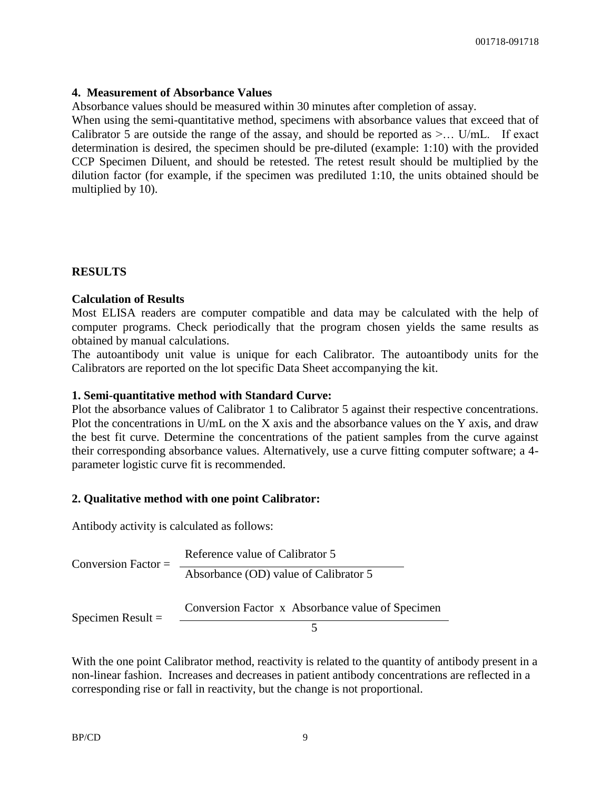#### **4. Measurement of Absorbance Values**

Absorbance values should be measured within 30 minutes after completion of assay.

When using the semi-quantitative method, specimens with absorbance values that exceed that of Calibrator 5 are outside the range of the assay, and should be reported as  $\geq$ ... U/mL. If exact determination is desired, the specimen should be pre-diluted (example: 1:10) with the provided CCP Specimen Diluent, and should be retested. The retest result should be multiplied by the dilution factor (for example, if the specimen was prediluted 1:10, the units obtained should be multiplied by 10).

#### **RESULTS**

#### **Calculation of Results**

Most ELISA readers are computer compatible and data may be calculated with the help of computer programs. Check periodically that the program chosen yields the same results as obtained by manual calculations.

The autoantibody unit value is unique for each Calibrator. The autoantibody units for the Calibrators are reported on the lot specific Data Sheet accompanying the kit.

#### **1. Semi-quantitative method with Standard Curve:**

Plot the absorbance values of Calibrator 1 to Calibrator 5 against their respective concentrations. Plot the concentrations in U/mL on the X axis and the absorbance values on the Y axis, and draw the best fit curve. Determine the concentrations of the patient samples from the curve against their corresponding absorbance values. Alternatively, use a curve fitting computer software; a 4 parameter logistic curve fit is recommended.

#### **2. Qualitative method with one point Calibrator:**

Antibody activity is calculated as follows:

Conversion Factor  $=$ Reference value of Calibrator 5 Absorbance (OD) value of Calibrator 5 Specimen Result = Conversion Factor x Absorbance value of Specimen 5

With the one point Calibrator method, reactivity is related to the quantity of antibody present in a non-linear fashion. Increases and decreases in patient antibody concentrations are reflected in a corresponding rise or fall in reactivity, but the change is not proportional.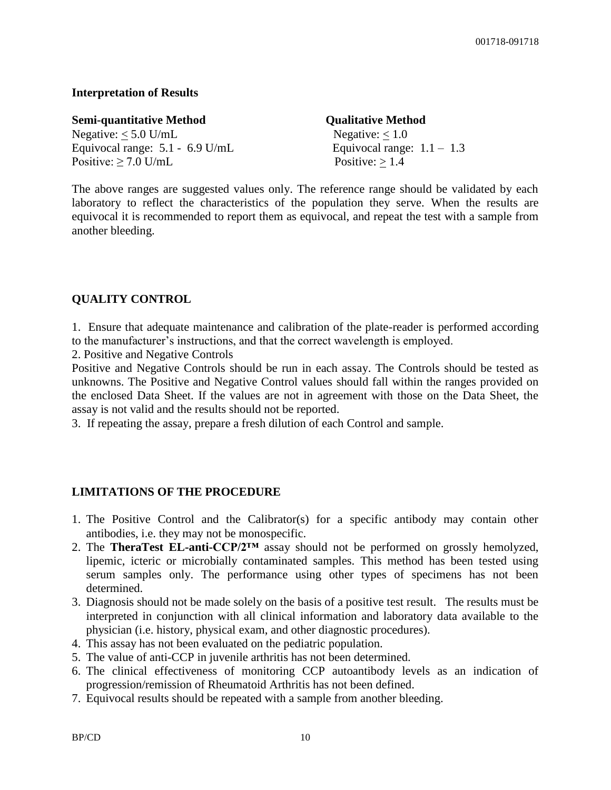#### **Interpretation of Results**

| <b>Semi-quantitative Method</b>   | <b>Qualitative Method</b>    |
|-----------------------------------|------------------------------|
| Negative: $<$ 5.0 U/mL            | Negative: $< 1.0$            |
| Equivocal range: $5.1 - 6.9$ U/mL | Equivocal range: $1.1 - 1.3$ |
| Positive: $\geq$ 7.0 U/mL         | Positive: $> 1.4$            |

The above ranges are suggested values only. The reference range should be validated by each laboratory to reflect the characteristics of the population they serve. When the results are equivocal it is recommended to report them as equivocal, and repeat the test with a sample from another bleeding.

#### **QUALITY CONTROL**

1. Ensure that adequate maintenance and calibration of the plate-reader is performed according to the manufacturer's instructions, and that the correct wavelength is employed.

2. Positive and Negative Controls

Positive and Negative Controls should be run in each assay. The Controls should be tested as unknowns. The Positive and Negative Control values should fall within the ranges provided on the enclosed Data Sheet. If the values are not in agreement with those on the Data Sheet, the assay is not valid and the results should not be reported.

3. If repeating the assay, prepare a fresh dilution of each Control and sample.

#### **LIMITATIONS OF THE PROCEDURE**

- 1. The Positive Control and the Calibrator(s) for a specific antibody may contain other antibodies, i.e. they may not be monospecific.
- 2. The **TheraTest EL-anti-CCP/2™** assay should not be performed on grossly hemolyzed, lipemic, icteric or microbially contaminated samples. This method has been tested using serum samples only. The performance using other types of specimens has not been determined.
- 3. Diagnosis should not be made solely on the basis of a positive test result. The results must be interpreted in conjunction with all clinical information and laboratory data available to the physician (i.e. history, physical exam, and other diagnostic procedures).
- 4. This assay has not been evaluated on the pediatric population.
- 5. The value of anti-CCP in juvenile arthritis has not been determined.
- 6. The clinical effectiveness of monitoring CCP autoantibody levels as an indication of progression/remission of Rheumatoid Arthritis has not been defined.
- 7. Equivocal results should be repeated with a sample from another bleeding.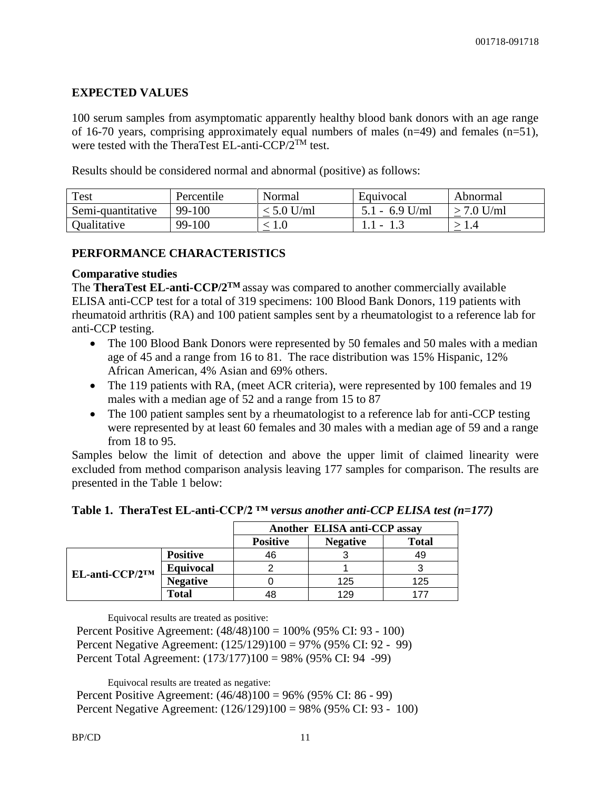#### **EXPECTED VALUES**

100 serum samples from asymptomatic apparently healthy blood bank donors with an age range of 16-70 years, comprising approximately equal numbers of males  $(n=49)$  and females  $(n=51)$ , were tested with the TheraTest EL-anti- $CCP/2^{TM}$  test.

Results should be considered normal and abnormal (positive) as follows:

| <b>Test</b>       | Percentile | Normal     | Equivocal        | Abnormal   |
|-------------------|------------|------------|------------------|------------|
| Semi-quantitative | 99-100     | $5.0$ U/ml | $5.1 - 6.9$ U/ml | $7.0$ U/ml |
| Qualitative       | 99-100     | 1.V        |                  |            |

#### **PERFORMANCE CHARACTERISTICS**

#### **Comparative studies**

The **TheraTest EL-anti-CCP/2TM** assay was compared to another commercially available ELISA anti-CCP test for a total of 319 specimens: 100 Blood Bank Donors, 119 patients with rheumatoid arthritis (RA) and 100 patient samples sent by a rheumatologist to a reference lab for anti-CCP testing.

- The 100 Blood Bank Donors were represented by 50 females and 50 males with a median age of 45 and a range from 16 to 81. The race distribution was 15% Hispanic, 12% African American, 4% Asian and 69% others.
- The 119 patients with RA, (meet ACR criteria), were represented by 100 females and 19 males with a median age of 52 and a range from 15 to 87
- The 100 patient samples sent by a rheumatologist to a reference lab for anti-CCP testing were represented by at least 60 females and 30 males with a median age of 59 and a range from 18 to 95.

Samples below the limit of detection and above the upper limit of claimed linearity were excluded from method comparison analysis leaving 177 samples for comparison. The results are presented in the Table 1 below:

| Table 1. TheraTest EL-anti-CCP/2 $TM$ versus another anti-CCP ELISA test (n=177) |  |
|----------------------------------------------------------------------------------|--|
|----------------------------------------------------------------------------------|--|

|                 |                  | Another ELISA anti-CCP assay |                 |              |
|-----------------|------------------|------------------------------|-----------------|--------------|
|                 |                  | <b>Positive</b>              | <b>Negative</b> | <b>Total</b> |
| EL-anti-CCP/2TM | <b>Positive</b>  | 46                           |                 | 49           |
|                 | <b>Equivocal</b> |                              |                 |              |
|                 | <b>Negative</b>  |                              | 125             | 125          |
|                 | Total            | 48                           | 129             |              |

Equivocal results are treated as positive:

Percent Positive Agreement: (48/48)100 = 100% (95% CI: 93 - 100) Percent Negative Agreement: (125/129)100 = 97% (95% CI: 92 - 99) Percent Total Agreement: (173/177)100 = 98% (95% CI: 94 -99)

Equivocal results are treated as negative:

Percent Positive Agreement: (46/48)100 = 96% (95% CI: 86 - 99) Percent Negative Agreement: (126/129)100 = 98% (95% CI: 93 - 100)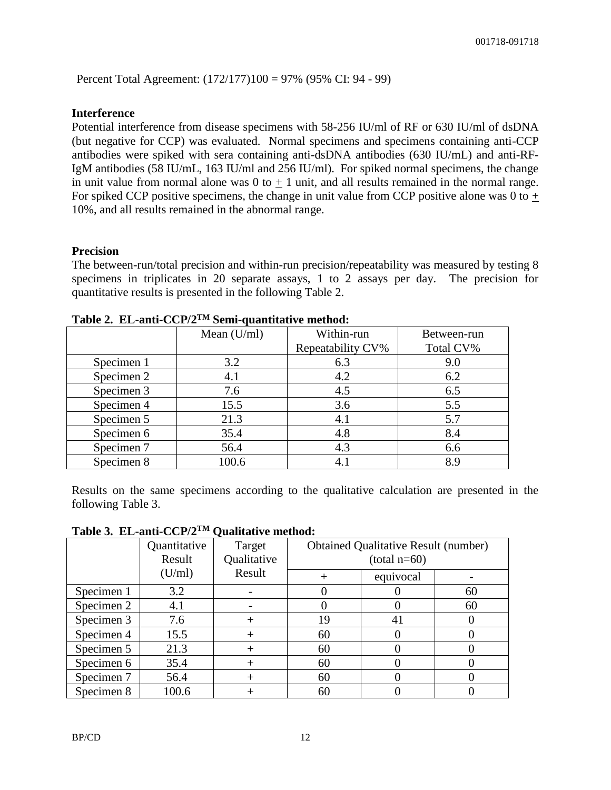Percent Total Agreement: (172/177)100 = 97% (95% CI: 94 - 99)

#### **Interference**

Potential interference from disease specimens with 58-256 IU/ml of RF or 630 IU/ml of dsDNA (but negative for CCP) was evaluated. Normal specimens and specimens containing anti-CCP antibodies were spiked with sera containing anti-dsDNA antibodies (630 IU/mL) and anti-RF-IgM antibodies (58 IU/mL, 163 IU/ml and 256 IU/ml). For spiked normal specimens, the change in unit value from normal alone was  $0$  to  $+1$  unit, and all results remained in the normal range. For spiked CCP positive specimens, the change in unit value from CCP positive alone was 0 to  $+$ 10%, and all results remained in the abnormal range.

#### **Precision**

The between-run/total precision and within-run precision/repeatability was measured by testing 8 specimens in triplicates in 20 separate assays, 1 to 2 assays per day. The precision for quantitative results is presented in the following Table 2.

|            | Mean $(U/ml)$ | Within-run        | Between-run |
|------------|---------------|-------------------|-------------|
|            |               | Repeatability CV% | Total CV%   |
| Specimen 1 | 3.2           | 6.3               | 9.0         |
| Specimen 2 | 4.1           | 4.2               | 6.2         |
| Specimen 3 | 7.6           | 4.5               | 6.5         |
| Specimen 4 | 15.5          | 3.6               | 5.5         |
| Specimen 5 | 21.3          | 4.1               | 5.7         |
| Specimen 6 | 35.4          | 4.8               | 8.4         |
| Specimen 7 | 56.4          | 4.3               | 6.6         |
| Specimen 8 | 100.6         | 4.1               | 8.9         |

**Table 2. EL-anti-CCP/2TM Semi-quantitative method:**

Results on the same specimens according to the qualitative calculation are presented in the following Table 3.

|            | Quantitative<br>Result | Target<br>Qualitative |    | <b>Obtained Qualitative Result (number)</b><br>$(total n=60)$ |    |
|------------|------------------------|-----------------------|----|---------------------------------------------------------------|----|
|            | (U/ml)                 | Result                |    | equivocal                                                     |    |
| Specimen 1 | 3.2                    |                       |    |                                                               | 60 |
| Specimen 2 | 4.1                    |                       |    |                                                               | 60 |
| Specimen 3 | 7.6                    |                       | 19 | 41                                                            |    |
| Specimen 4 | 15.5                   |                       | 60 |                                                               |    |
| Specimen 5 | 21.3                   |                       | 60 |                                                               |    |
| Specimen 6 | 35.4                   |                       | 60 |                                                               |    |
| Specimen 7 | 56.4                   |                       | 60 |                                                               |    |
| Specimen 8 | 100.6                  |                       | 60 |                                                               |    |

**Table 3. EL-anti-CCP/2TM Qualitative method:**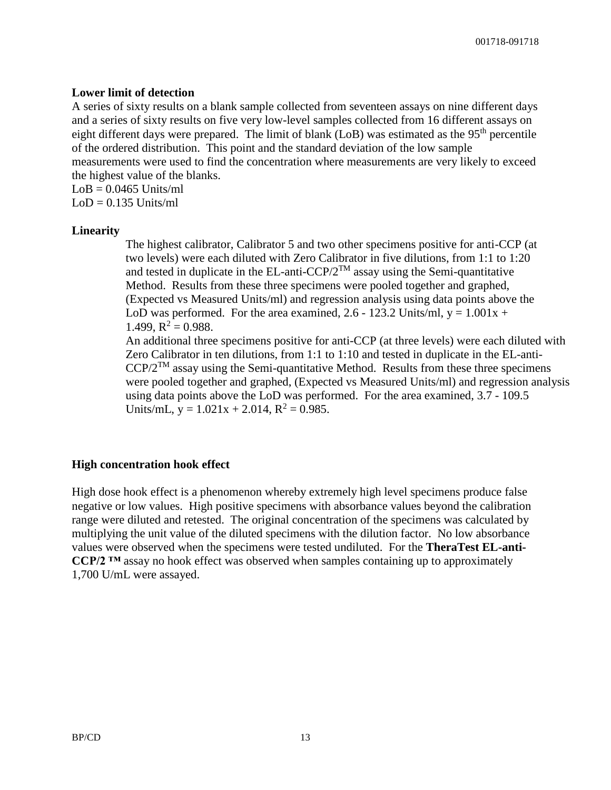#### **Lower limit of detection**

A series of sixty results on a blank sample collected from seventeen assays on nine different days and a series of sixty results on five very low-level samples collected from 16 different assays on eight different days were prepared. The limit of blank (LoB) was estimated as the 95<sup>th</sup> percentile of the ordered distribution. This point and the standard deviation of the low sample measurements were used to find the concentration where measurements are very likely to exceed the highest value of the blanks.  $LoB = 0.0465$  Units/ml

 $LoD = 0.135$  Units/ml

#### **Linearity**

The highest calibrator, Calibrator 5 and two other specimens positive for anti-CCP (at two levels) were each diluted with Zero Calibrator in five dilutions, from 1:1 to 1:20 and tested in duplicate in the EL-anti-CCP/ $2^{TM}$  assay using the Semi-quantitative Method. Results from these three specimens were pooled together and graphed, (Expected vs Measured Units/ml) and regression analysis using data points above the LoD was performed. For the area examined, 2.6 - 123.2 Units/ml,  $y = 1.001x +$ 1.499,  $R^2 = 0.988$ .

An additional three specimens positive for anti-CCP (at three levels) were each diluted with Zero Calibrator in ten dilutions, from 1:1 to 1:10 and tested in duplicate in the EL-anti- $CCP/2^{TM}$  assay using the Semi-quantitative Method. Results from these three specimens were pooled together and graphed, (Expected vs Measured Units/ml) and regression analysis using data points above the LoD was performed. For the area examined, 3.7 - 109.5 Units/mL,  $y = 1.021x + 2.014$ ,  $R^2 = 0.985$ .

#### **High concentration hook effect**

High dose hook effect is a phenomenon whereby extremely high level specimens produce false negative or low values. High positive specimens with absorbance values beyond the calibration range were diluted and retested. The original concentration of the specimens was calculated by multiplying the unit value of the diluted specimens with the dilution factor. No low absorbance values were observed when the specimens were tested undiluted. For the **TheraTest EL-anti-CCP/2 ™** assay no hook effect was observed when samples containing up to approximately 1,700 U/mL were assayed.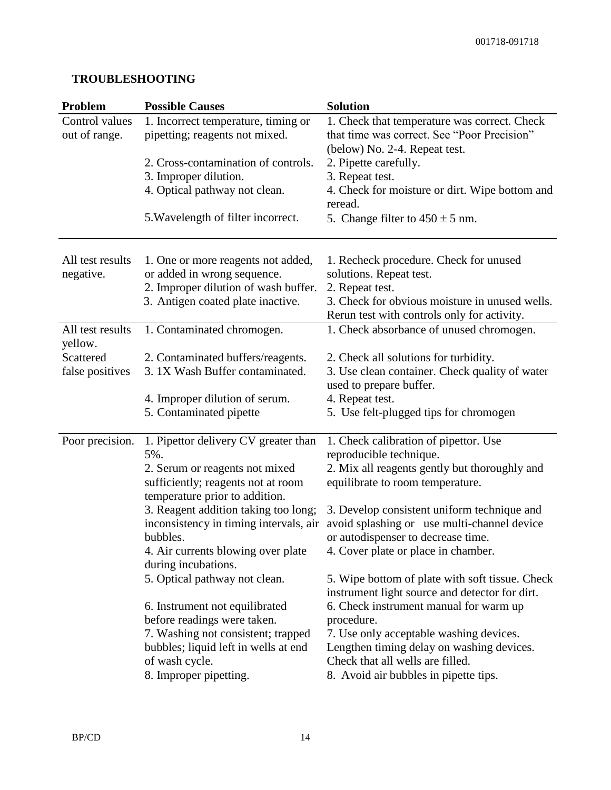## **TROUBLESHOOTING**

| Problem                         | <b>Possible Causes</b>                                                | <b>Solution</b>                                                                                   |
|---------------------------------|-----------------------------------------------------------------------|---------------------------------------------------------------------------------------------------|
| Control values<br>out of range. | 1. Incorrect temperature, timing or<br>pipetting; reagents not mixed. | 1. Check that temperature was correct. Check<br>that time was correct. See "Poor Precision"       |
|                                 |                                                                       | (below) No. 2-4. Repeat test.                                                                     |
|                                 | 2. Cross-contamination of controls.                                   | 2. Pipette carefully.                                                                             |
|                                 | 3. Improper dilution.                                                 | 3. Repeat test.                                                                                   |
|                                 | 4. Optical pathway not clean.                                         | 4. Check for moisture or dirt. Wipe bottom and<br>reread.                                         |
|                                 | 5. Wavelength of filter incorrect.                                    | 5. Change filter to $450 \pm 5$ nm.                                                               |
| All test results                | 1. One or more reagents not added,                                    | 1. Recheck procedure. Check for unused                                                            |
| negative.                       | or added in wrong sequence.                                           | solutions. Repeat test.                                                                           |
|                                 | 2. Improper dilution of wash buffer.                                  | 2. Repeat test.                                                                                   |
|                                 | 3. Antigen coated plate inactive.                                     | 3. Check for obvious moisture in unused wells.<br>Rerun test with controls only for activity.     |
| All test results<br>yellow.     | 1. Contaminated chromogen.                                            | 1. Check absorbance of unused chromogen.                                                          |
| Scattered                       | 2. Contaminated buffers/reagents.                                     | 2. Check all solutions for turbidity.                                                             |
| false positives                 | 3.1X Wash Buffer contaminated.                                        | 3. Use clean container. Check quality of water<br>used to prepare buffer.                         |
|                                 | 4. Improper dilution of serum.                                        | 4. Repeat test.                                                                                   |
|                                 | 5. Contaminated pipette                                               | 5. Use felt-plugged tips for chromogen                                                            |
| Poor precision.                 | 1. Pipettor delivery CV greater than<br>5%.                           | 1. Check calibration of pipettor. Use                                                             |
|                                 | 2. Serum or reagents not mixed                                        | reproducible technique.<br>2. Mix all reagents gently but thoroughly and                          |
|                                 | sufficiently; reagents not at room<br>temperature prior to addition.  | equilibrate to room temperature.                                                                  |
|                                 | 3. Reagent addition taking too long;                                  | 3. Develop consistent uniform technique and                                                       |
|                                 | inconsistency in timing intervals, air                                | avoid splashing or use multi-channel device                                                       |
|                                 | bubbles.                                                              | or autodispenser to decrease time.                                                                |
|                                 | 4. Air currents blowing over plate<br>during incubations.             | 4. Cover plate or place in chamber.                                                               |
|                                 | 5. Optical pathway not clean.                                         | 5. Wipe bottom of plate with soft tissue. Check<br>instrument light source and detector for dirt. |
|                                 | 6. Instrument not equilibrated                                        | 6. Check instrument manual for warm up                                                            |
|                                 | before readings were taken.                                           | procedure.                                                                                        |
|                                 | 7. Washing not consistent; trapped                                    | 7. Use only acceptable washing devices.                                                           |
|                                 | bubbles; liquid left in wells at end                                  | Lengthen timing delay on washing devices.                                                         |
|                                 | of wash cycle.                                                        | Check that all wells are filled.                                                                  |
|                                 | 8. Improper pipetting.                                                | 8. Avoid air bubbles in pipette tips.                                                             |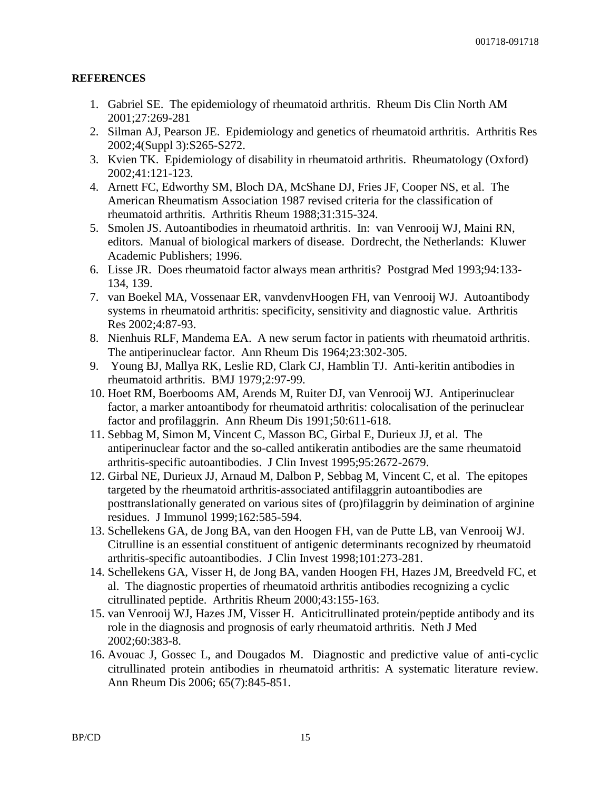#### **REFERENCES**

- 1. Gabriel SE. The epidemiology of rheumatoid arthritis. Rheum Dis Clin North AM 2001;27:269-281
- 2. Silman AJ, Pearson JE. Epidemiology and genetics of rheumatoid arthritis. Arthritis Res 2002;4(Suppl 3):S265-S272.
- 3. Kvien TK. Epidemiology of disability in rheumatoid arthritis. Rheumatology (Oxford) 2002;41:121-123.
- 4. Arnett FC, Edworthy SM, Bloch DA, McShane DJ, Fries JF, Cooper NS, et al. The American Rheumatism Association 1987 revised criteria for the classification of rheumatoid arthritis. Arthritis Rheum 1988;31:315-324.
- 5. Smolen JS. Autoantibodies in rheumatoid arthritis. In: van Venrooij WJ, Maini RN, editors. Manual of biological markers of disease. Dordrecht, the Netherlands: Kluwer Academic Publishers; 1996.
- 6. Lisse JR. Does rheumatoid factor always mean arthritis? Postgrad Med 1993;94:133- 134, 139.
- 7. van Boekel MA, Vossenaar ER, vanvdenvHoogen FH, van Venrooij WJ. Autoantibody systems in rheumatoid arthritis: specificity, sensitivity and diagnostic value. Arthritis Res 2002;4:87-93.
- 8. Nienhuis RLF, Mandema EA. A new serum factor in patients with rheumatoid arthritis. The antiperinuclear factor. Ann Rheum Dis 1964;23:302-305.
- 9. Young BJ, Mallya RK, Leslie RD, Clark CJ, Hamblin TJ. Anti-keritin antibodies in rheumatoid arthritis. BMJ 1979;2:97-99.
- 10. Hoet RM, Boerbooms AM, Arends M, Ruiter DJ, van Venrooij WJ. Antiperinuclear factor, a marker antoantibody for rheumatoid arthritis: colocalisation of the perinuclear factor and profilaggrin. Ann Rheum Dis 1991;50:611-618.
- 11. Sebbag M, Simon M, Vincent C, Masson BC, Girbal E, Durieux JJ, et al. The antiperinuclear factor and the so-called antikeratin antibodies are the same rheumatoid arthritis-specific autoantibodies. J Clin Invest 1995;95:2672-2679.
- 12. Girbal NE, Durieux JJ, Arnaud M, Dalbon P, Sebbag M, Vincent C, et al. The epitopes targeted by the rheumatoid arthritis-associated antifilaggrin autoantibodies are posttranslationally generated on various sites of (pro)filaggrin by deimination of arginine residues. J Immunol 1999;162:585-594.
- 13. Schellekens GA, de Jong BA, van den Hoogen FH, van de Putte LB, van Venrooij WJ. Citrulline is an essential constituent of antigenic determinants recognized by rheumatoid arthritis-specific autoantibodies. J Clin Invest 1998;101:273-281.
- 14. Schellekens GA, Visser H, de Jong BA, vanden Hoogen FH, Hazes JM, Breedveld FC, et al. The diagnostic properties of rheumatoid arthritis antibodies recognizing a cyclic citrullinated peptide. Arthritis Rheum 2000;43:155-163.
- 15. van Venrooij WJ, Hazes JM, Visser H. Anticitrullinated protein/peptide antibody and its role in the diagnosis and prognosis of early rheumatoid arthritis. Neth J Med 2002;60:383-8.
- 16. Avouac J, Gossec L, and Dougados M. Diagnostic and predictive value of anti-cyclic citrullinated protein antibodies in rheumatoid arthritis: A systematic literature review. Ann Rheum Dis 2006; 65(7):845-851.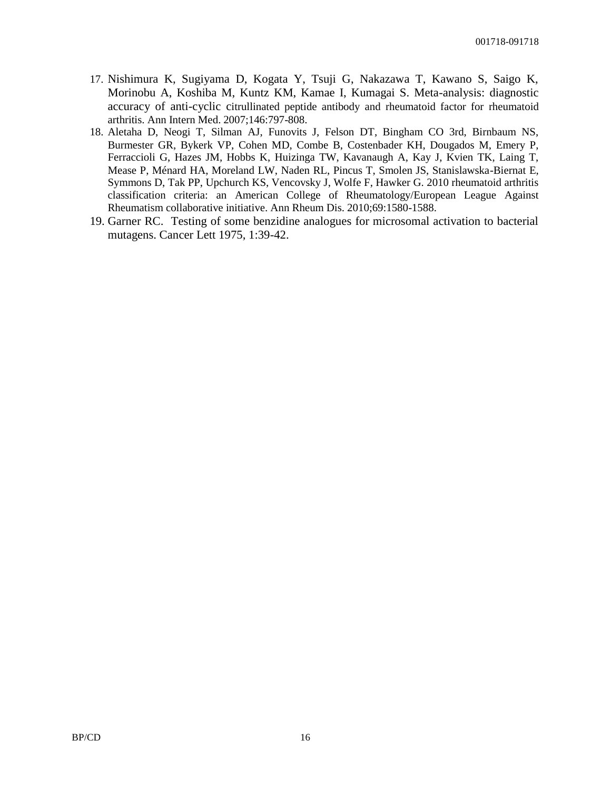- 17. Nishimura K, Sugiyama D, Kogata Y, Tsuji G, Nakazawa T, Kawano S, Saigo K, Morinobu A, Koshiba M, Kuntz KM, Kamae I, Kumagai S. Meta-analysis: diagnostic accuracy of anti-cyclic citrullinated peptide antibody and rheumatoid factor for rheumatoid arthritis. Ann Intern Med. 2007;146:797-808.
- 18. Aletaha D, Neogi T, Silman AJ, Funovits J, Felson DT, Bingham CO 3rd, Birnbaum NS, Burmester GR, Bykerk VP, Cohen MD, Combe B, Costenbader KH, Dougados M, Emery P, Ferraccioli G, Hazes JM, Hobbs K, Huizinga TW, Kavanaugh A, Kay J, Kvien TK, Laing T, Mease P, Ménard HA, Moreland LW, Naden RL, Pincus T, Smolen JS, Stanislawska-Biernat E, Symmons D, Tak PP, Upchurch KS, Vencovsky J, Wolfe F, Hawker G. 2010 rheumatoid arthritis classification criteria: an American College of Rheumatology/European League Against Rheumatism collaborative initiative. Ann Rheum Dis. 2010;69:1580-1588.
- 19. Garner RC. Testing of some benzidine analogues for microsomal activation to bacterial mutagens. Cancer Lett 1975, 1:39-42.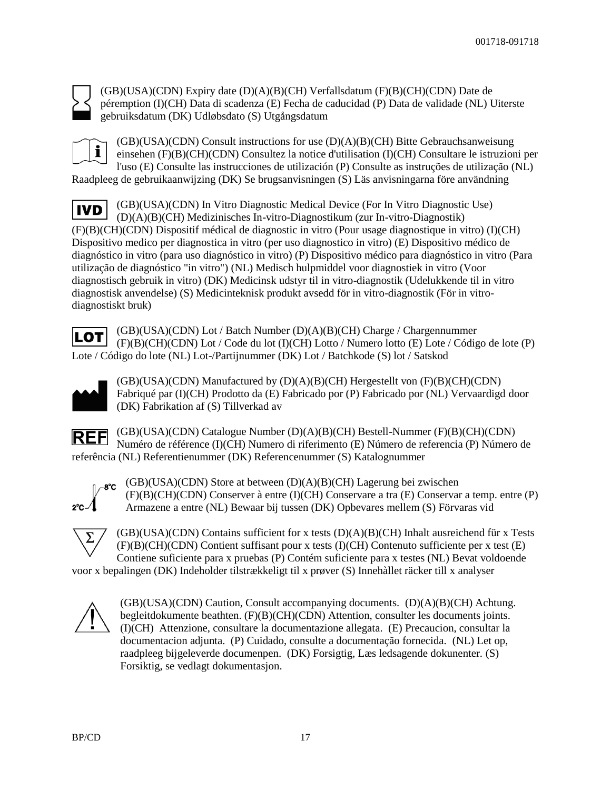

(GB)(USA)(CDN) Expiry date (D)(A)(B)(CH) Verfallsdatum (F)(B)(CH)(CDN) Date de péremption (I)(CH) Data di scadenza (E) Fecha de caducidad (P) Data de validade (NL) Uiterste gebruiksdatum (DK) Udløbsdato (S) Utgångsdatum



(GB)(USA)(CDN) Consult instructions for use (D)(A)(B)(CH) Bitte Gebrauchsanweisung einsehen (F)(B)(CH)(CDN) Consultez la notice d'utilisation (I)(CH) Consultare le istruzioni per l'uso (E) Consulte las instrucciones de utilización (P) Consulte as instruções de utilização (NL)

Raadpleeg de gebruikaanwijzing (DK) Se brugsanvisningen (S) Läs anvisningarna före användning

(GB)(USA)(CDN) In Vitro Diagnostic Medical Device (For In Vitro Diagnostic Use) **IVD** (D)(A)(B)(CH) Medizinisches In-vitro-Diagnostikum (zur In-vitro-Diagnostik) (F)(B)(CH)(CDN) Dispositif médical de diagnostic in vitro (Pour usage diagnostique in vitro) (I)(CH) Dispositivo medico per diagnostica in vitro (per uso diagnostico in vitro) (E) Dispositivo médico de diagnóstico in vitro (para uso diagnóstico in vitro) (P) Dispositivo médico para diagnóstico in vitro (Para utilização de diagnóstico "in vitro") (NL) Medisch hulpmiddel voor diagnostiek in vitro (Voor diagnostisch gebruik in vitro) (DK) Medicinsk udstyr til in vitro-diagnostik (Udelukkende til in vitro diagnostisk anvendelse) (S) Medicinteknisk produkt avsedd för in vitro-diagnostik (För in vitrodiagnostiskt bruk)

(GB)(USA)(CDN) Lot / Batch Number (D)(A)(B)(CH) Charge / Chargennummer **LOT** (F)(B)(CH)(CDN) Lot / Code du lot (I)(CH) Lotto / Numero lotto (E) Lote / Código de lote (P) Lote / Código do lote (NL) Lot-/Partijnummer (DK) Lot / Batchkode (S) lot / Satskod



(GB)(USA)(CDN) Manufactured by (D)(A)(B)(CH) Hergestellt von (F)(B)(CH)(CDN) Fabriqué par (I)(CH) Prodotto da (E) Fabricado por (P) Fabricado por (NL) Vervaardigd door (DK) Fabrikation af (S) Tillverkad av

(GB)(USA)(CDN) Catalogue Number (D)(A)(B)(CH) Bestell-Nummer (F)(B)(CH)(CDN) **REF** Numéro de référence (I)(CH) Numero di riferimento (E) Número de referencia (P) Número de referência (NL) Referentienummer (DK) Referencenummer (S) Katalognummer



(GB)(USA)(CDN) Store at between (D)(A)(B)(CH) Lagerung bei zwischen (F)(B)(CH)(CDN) Conserver à entre (I)(CH) Conservare a tra (E) Conservar a temp. entre (P) Armazene a entre (NL) Bewaar bij tussen (DK) Opbevares mellem (S) Förvaras vid



(GB)(USA)(CDN) Contains sufficient for x tests (D)(A)(B)(CH) Inhalt ausreichend für x Tests  $(F)(B)(CH)(CDN)$  Contient suffisant pour x tests  $(I)(CH)$  Contenuto sufficiente per x test  $(E)$ Contiene suficiente para x pruebas (P) Contém suficiente para x testes (NL) Bevat voldoende voor x bepalingen (DK) Indeholder tilstrækkeligt til x prøver (S) Innehàllet räcker till x analyser

(GB)(USA)(CDN) Caution, Consult accompanying documents. (D)(A)(B)(CH) Achtung. begleitdokumente beathten. (F)(B)(CH)(CDN) Attention, consulter les documents joints. (I)(CH) Attenzione, consultare la documentazione allegata. (E) Precaucion, consultar la documentacion adjunta. (P) Cuidado, consulte a documentação fornecida. (NL) Let op, raadpleeg bijgeleverde documenpen. (DK) Forsigtig, Læs ledsagende dokunenter. (S) Forsiktig, se vedlagt dokumentasjon.